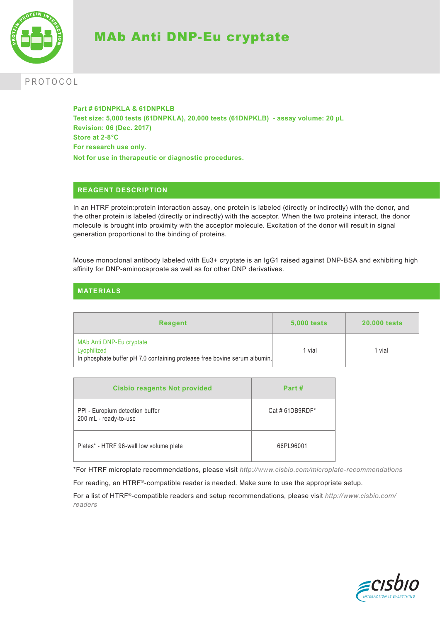

# MAb Anti DNP-Eu cryptate

# PROTOCOL

**Part # 61DNPKLA & 61DNPKLB Test size: 5,000 tests (61DNPKLA), 20,000 tests (61DNPKLB) - assay volume: 20 µL Revision: 06 (Dec. 2017) Store at 2-8°C For research use only. Not for use in therapeutic or diagnostic procedures.**

## **REAGENT DESCRIPTION**

In an HTRF protein:protein interaction assay, one protein is labeled (directly or indirectly) with the donor, and the other protein is labeled (directly or indirectly) with the acceptor. When the two proteins interact, the donor molecule is brought into proximity with the acceptor molecule. Excitation of the donor will result in signal generation proportional to the binding of proteins.

Mouse monoclonal antibody labeled with Eu3+ cryptate is an IgG1 raised against DNP-BSA and exhibiting high affinity for DNP-aminocaproate as well as for other DNP derivatives.

# **MATERIALS**

| <b>Reagent</b>                                                                                                       | <b>5,000 tests</b> | <b>20,000 tests</b> |
|----------------------------------------------------------------------------------------------------------------------|--------------------|---------------------|
| MAb Anti DNP-Eu cryptate<br>Lyophilized<br>In phosphate buffer pH 7.0 containing protease free bovine serum albumin. | vial               | 1 vial              |

| <b>Cisbio reagents Not provided</b>                      | Part #          |
|----------------------------------------------------------|-----------------|
| PPI - Europium detection buffer<br>200 mL - ready-to-use | Cat # 61DB9RDF* |
| Plates* - HTRF 96-well low volume plate                  | 66PL96001       |

\*For HTRF microplate recommendations, please visit *http://www.cisbio.com/microplate-recommendations*

For reading, an HTRF®-compatible reader is needed. Make sure to use the appropriate setup.

For a list of HTRF®-compatible readers and setup recommendations, please visit *http://www.cisbio.com/ readers*